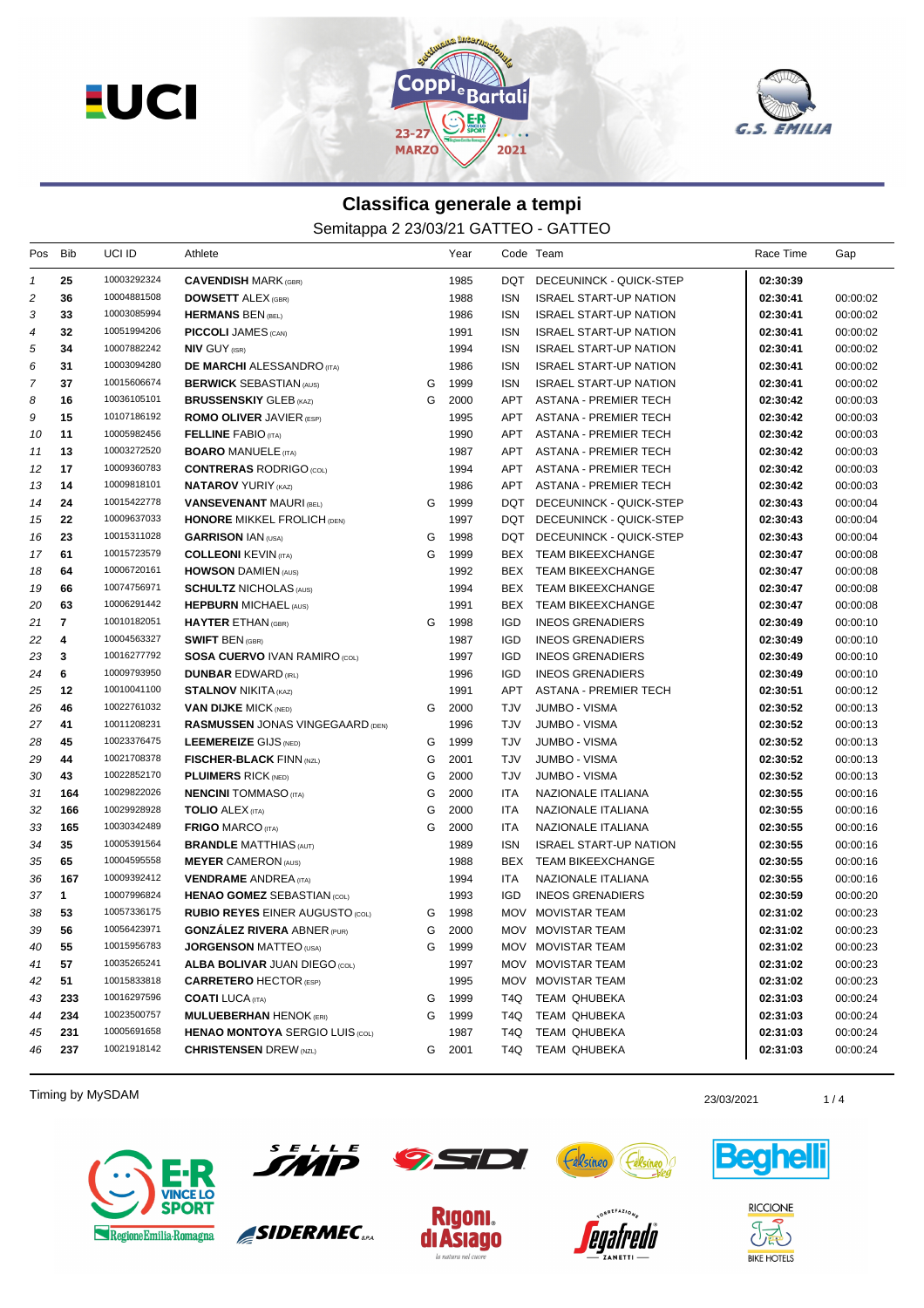



## **Classifica generale a tempi**

Semitappa 2 23/03/21 GATTEO - GATTEO

| Pos            | Bib            | UCI ID      | Athlete                                 |   | Year   |            | Code Team                     | Race Time | Gap      |
|----------------|----------------|-------------|-----------------------------------------|---|--------|------------|-------------------------------|-----------|----------|
| $\mathbf{1}$   | 25             | 10003292324 | <b>CAVENDISH MARK (GBR)</b>             |   | 1985   | <b>DQT</b> | DECEUNINCK - QUICK-STEP       | 02:30:39  |          |
| $\overline{c}$ | 36             | 10004881508 | <b>DOWSETT ALEX (GBR)</b>               |   | 1988   | <b>ISN</b> | <b>ISRAEL START-UP NATION</b> | 02:30:41  | 00:00:02 |
| 3              | 33             | 10003085994 | <b>HERMANS BEN (BEL)</b>                |   | 1986   | <b>ISN</b> | <b>ISRAEL START-UP NATION</b> | 02:30:41  | 00:00:02 |
| 4              | 32             | 10051994206 | <b>PICCOLI JAMES (CAN)</b>              |   | 1991   | <b>ISN</b> | <b>ISRAEL START-UP NATION</b> | 02:30:41  | 00:00:02 |
| 5              | 34             | 10007882242 | <b>NIV GUY (ISR)</b>                    |   | 1994   | <b>ISN</b> | <b>ISRAEL START-UP NATION</b> | 02:30:41  | 00:00:02 |
| 6              | 31             | 10003094280 | <b>DE MARCHI</b> ALESSANDRO (ITA)       |   | 1986   | <b>ISN</b> | <b>ISRAEL START-UP NATION</b> | 02:30:41  | 00:00:02 |
| 7              | 37             | 10015606674 | <b>BERWICK SEBASTIAN (AUS)</b>          | G | 1999   | <b>ISN</b> | <b>ISRAEL START-UP NATION</b> | 02:30:41  | 00:00:02 |
| 8              | 16             | 10036105101 | <b>BRUSSENSKIY GLEB (KAZ)</b>           | G | 2000   | APT        | <b>ASTANA - PREMIER TECH</b>  | 02:30:42  | 00:00:03 |
| 9              | 15             | 10107186192 | <b>ROMO OLIVER JAVIER (ESP)</b>         |   | 1995   | APT        | ASTANA - PREMIER TECH         | 02:30:42  | 00:00:03 |
| 10             | 11             | 10005982456 | <b>FELLINE FABIO (ITA)</b>              |   | 1990   | APT        | <b>ASTANA - PREMIER TECH</b>  | 02:30:42  | 00:00:03 |
| 11             | 13             | 10003272520 | <b>BOARO MANUELE (ITA)</b>              |   | 1987   | APT        | ASTANA - PREMIER TECH         | 02:30:42  | 00:00:03 |
| 12             | 17             | 10009360783 | <b>CONTRERAS RODRIGO (COL)</b>          |   | 1994   | APT        | ASTANA - PREMIER TECH         | 02:30:42  | 00:00:03 |
| 13             | 14             | 10009818101 | <b>NATAROV YURIY (KAZ)</b>              |   | 1986   | APT        | <b>ASTANA - PREMIER TECH</b>  | 02:30:42  | 00:00:03 |
| 14             | 24             | 10015422778 | <b>VANSEVENANT MAURI (BEL)</b>          | G | 1999   | DQT        | DECEUNINCK - QUICK-STEP       | 02:30:43  | 00:00:04 |
| 15             | 22             | 10009637033 | <b>HONORE MIKKEL FROLICH (DEN)</b>      |   | 1997   | DQT        | DECEUNINCK - QUICK-STEP       | 02:30:43  | 00:00:04 |
| 16             | 23             | 10015311028 | <b>GARRISON IAN (USA)</b>               | G | 1998   | DQT        | DECEUNINCK - QUICK-STEP       | 02:30:43  | 00:00:04 |
| 17             | 61             | 10015723579 | <b>COLLEONI KEVIN (ITA)</b>             | G | 1999   | BEX        | TEAM BIKEEXCHANGE             | 02:30:47  | 00:00:08 |
| 18             | 64             | 10006720161 | <b>HOWSON DAMIEN (AUS)</b>              |   | 1992   | BEX        | TEAM BIKEEXCHANGE             | 02:30:47  | 00:00:08 |
| 19             | 66             | 10074756971 | <b>SCHULTZ NICHOLAS (AUS)</b>           |   | 1994   | BEX        | <b>TEAM BIKEEXCHANGE</b>      | 02:30:47  | 00:00:08 |
| 20             | 63             | 10006291442 | <b>HEPBURN MICHAEL (AUS)</b>            |   | 1991   | BEX        | TEAM BIKEEXCHANGE             | 02:30:47  | 00:00:08 |
| 21             | $\overline{7}$ | 10010182051 | <b>HAYTER ETHAN (GBR)</b>               | G | 1998   | <b>IGD</b> | <b>INEOS GRENADIERS</b>       | 02:30:49  | 00:00:10 |
| 22             | 4              | 10004563327 | <b>SWIFT BEN (GBR)</b>                  |   | 1987   | <b>IGD</b> | <b>INEOS GRENADIERS</b>       | 02:30:49  | 00:00:10 |
| 23             | 3              | 10016277792 | <b>SOSA CUERVO IVAN RAMIRO (COL)</b>    |   | 1997   | <b>IGD</b> | <b>INEOS GRENADIERS</b>       | 02:30:49  | 00:00:10 |
| 24             | 6              | 10009793950 | <b>DUNBAR EDWARD (IRL)</b>              |   | 1996   | <b>IGD</b> | <b>INEOS GRENADIERS</b>       | 02:30:49  | 00:00:10 |
| 25             | 12             | 10010041100 | <b>STALNOV NIKITA (KAZ)</b>             |   | 1991   | APT        | <b>ASTANA - PREMIER TECH</b>  | 02:30:51  | 00:00:12 |
| 26             | 46             | 10022761032 | <b>VAN DIJKE MICK (NED)</b>             | G | 2000   | TJV        | <b>JUMBO - VISMA</b>          | 02:30:52  | 00:00:13 |
| 27             | 41             | 10011208231 | <b>RASMUSSEN JONAS VINGEGAARD (DEN)</b> |   | 1996   | TJV        | <b>JUMBO - VISMA</b>          | 02:30:52  |          |
|                | 45             | 10023376475 |                                         | G | 1999   | TJV        |                               | 02:30:52  | 00:00:13 |
| 28             | 44             | 10021708378 | <b>LEEMEREIZE GIJS (NED)</b>            | G | 2001   |            | JUMBO - VISMA                 |           | 00:00:13 |
| 29             |                | 10022852170 | <b>FISCHER-BLACK FINN (NZL)</b>         |   |        | TJV        | <b>JUMBO - VISMA</b>          | 02:30:52  | 00:00:13 |
| 30             | 43             | 10029822026 | <b>PLUIMERS RICK (NED)</b>              | G | 2000   | TJV        | <b>JUMBO - VISMA</b>          | 02:30:52  | 00:00:13 |
| 31             | 164            |             | <b>NENCINI</b> TOMMASO (ITA)            | G | 2000   | <b>ITA</b> | NAZIONALE ITALIANA            | 02:30:55  | 00:00:16 |
| 32             | 166            | 10029928928 | <b>TOLIO ALEX (ITA)</b>                 | G | 2000   | <b>ITA</b> | NAZIONALE ITALIANA            | 02:30:55  | 00:00:16 |
| 33             | 165            | 10030342489 | <b>FRIGO MARCO (ITA)</b>                | G | 2000   | <b>ITA</b> | NAZIONALE ITALIANA            | 02:30:55  | 00:00:16 |
| 34             | 35             | 10005391564 | <b>BRANDLE MATTHIAS (AUT)</b>           |   | 1989   | <b>ISN</b> | <b>ISRAEL START-UP NATION</b> | 02:30:55  | 00:00:16 |
| 35             | 65             | 10004595558 | <b>MEYER CAMERON (AUS)</b>              |   | 1988   | <b>BEX</b> | <b>TEAM BIKEEXCHANGE</b>      | 02:30:55  | 00:00:16 |
| 36             | 167            | 10009392412 | <b>VENDRAME ANDREA</b> (ITA)            |   | 1994   | <b>ITA</b> | NAZIONALE ITALIANA            | 02:30:55  | 00:00:16 |
| 37             | $\mathbf{1}$   | 10007996824 | <b>HENAO GOMEZ SEBASTIAN (COL)</b>      |   | 1993   | <b>IGD</b> | <b>INEOS GRENADIERS</b>       | 02:30:59  | 00:00:20 |
| 38             | 53             | 10057336175 | <b>RUBIO REYES EINER AUGUSTO (COL)</b>  | G | 1998   | <b>MOV</b> | <b>MOVISTAR TEAM</b>          | 02:31:02  | 00:00:23 |
| 39             | 56             | 10056423971 | <b>GONZALEZ RIVERA ABNER (PUR)</b>      | G | 2000   |            | MOV MOVISTAR TEAM             | 02:31:02  | 00:00:23 |
| 40             | 55             | 10015956783 | <b>JORGENSON MATTEO (USA)</b>           | G | 1999   |            | MOV MOVISTAR TEAM             | 02:31:02  | 00:00:23 |
| 41             | 57             | 10035265241 | <b>ALBA BOLIVAR JUAN DIEGO (COL)</b>    |   | 1997   |            | MOV MOVISTAR TEAM             | 02:31:02  | 00:00:23 |
| 42             | 51             | 10015833818 | <b>CARRETERO HECTOR (ESP)</b>           |   | 1995   |            | MOV MOVISTAR TEAM             | 02:31:02  | 00:00:23 |
| 43             | 233            | 10016297596 | <b>COATI</b> LUCA (ITA)                 | G | 1999   | T4Q        | TEAM QHUBEKA                  | 02:31:03  | 00:00:24 |
| 44             | 234            | 10023500757 | <b>MULUEBERHAN HENOK (ERI)</b>          | G | 1999   | T4Q        | TEAM QHUBEKA                  | 02:31:03  | 00:00:24 |
| 45             | 231            | 10005691658 | <b>HENAO MONTOYA SERGIO LUIS (COL)</b>  |   | 1987   | T4Q        | TEAM QHUBEKA                  | 02:31:03  | 00:00:24 |
| 46             | 237            | 10021918142 | <b>CHRISTENSEN DREW (NZL)</b>           |   | G 2001 | T4Q        | TEAM QHUBEKA                  | 02:31:03  | 00:00:24 |

Timing by MySDAM 23/03/2021 23/03/2021 23/03/2021 23/03/2021 23/03/2021 23/03/2021





SIDERMEC<sub>SPA</sub>







**RICCIONE**  $\partial \widetilde{\mathbb{E}}$ **BIKE HOTELS**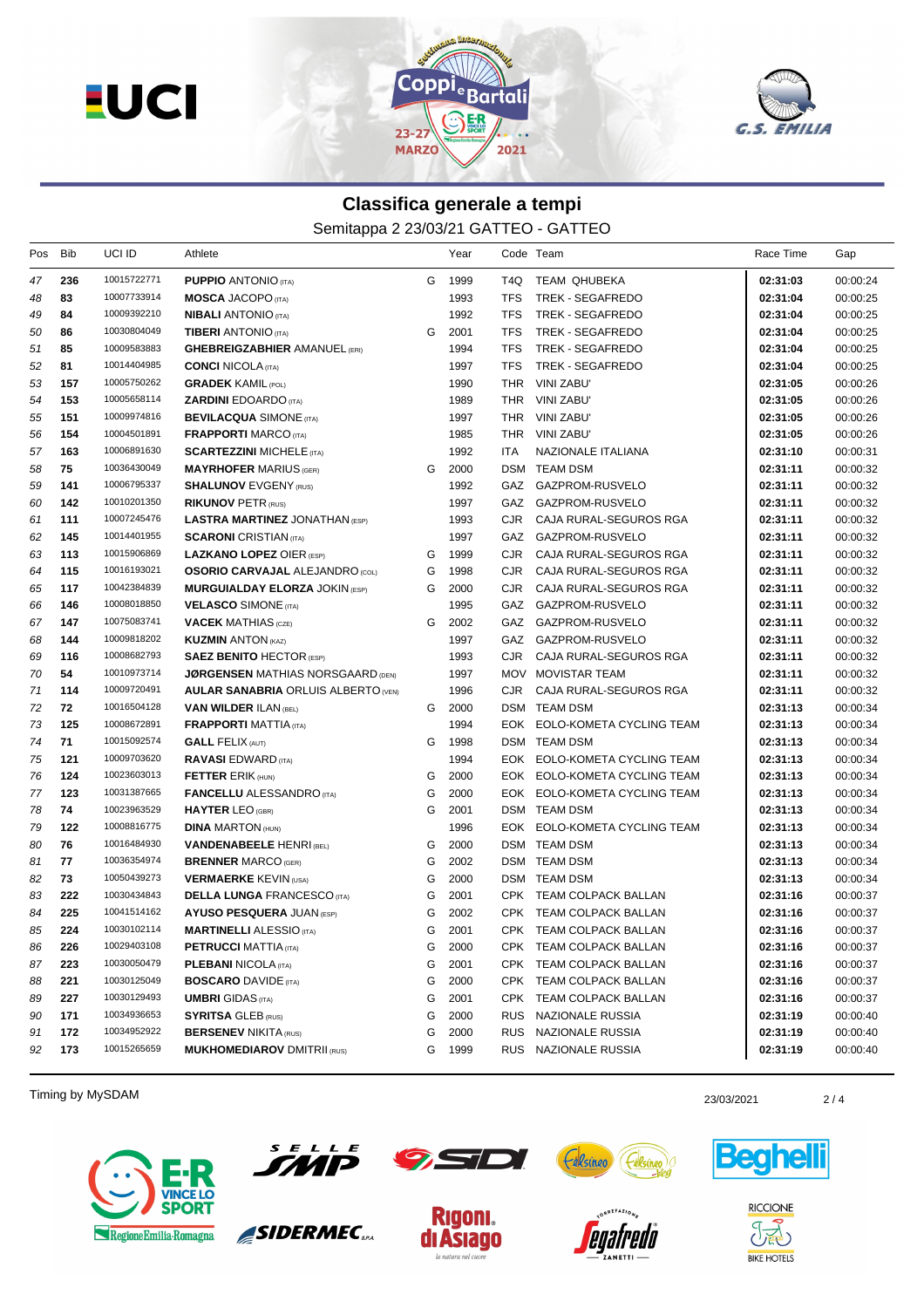



## **Classifica generale a tempi**

Semitappa 2 23/03/21 GATTEO - GATTEO

| Pos | Bib | UCI ID      | Athlete                                    |   | Year |            | Code Team                    | Race Time | Gap      |
|-----|-----|-------------|--------------------------------------------|---|------|------------|------------------------------|-----------|----------|
| 47  | 236 | 10015722771 | <b>PUPPIO ANTONIO (ITA)</b>                | G | 1999 | T4Q        | TEAM QHUBEKA                 | 02:31:03  | 00:00:24 |
| 48  | 83  | 10007733914 | <b>MOSCA JACOPO</b> (ITA)                  |   | 1993 | <b>TFS</b> | <b>TREK - SEGAFREDO</b>      | 02:31:04  | 00:00:25 |
| 49  | 84  | 10009392210 | <b>NIBALI</b> ANTONIO (ITA)                |   | 1992 | <b>TFS</b> | TREK - SEGAFREDO             | 02:31:04  | 00:00:25 |
| 50  | 86  | 10030804049 | <b>TIBERI ANTONIO</b> (ITA)                | G | 2001 | <b>TFS</b> | <b>TREK - SEGAFREDO</b>      | 02:31:04  | 00:00:25 |
| 51  | 85  | 10009583883 | <b>GHEBREIGZABHIER AMANUEL (ERI)</b>       |   | 1994 | <b>TFS</b> | <b>TREK - SEGAFREDO</b>      | 02:31:04  | 00:00:25 |
| 52  | 81  | 10014404985 | <b>CONCI</b> NICOLA (ITA)                  |   | 1997 | TFS.       | TREK - SEGAFREDO             | 02:31:04  | 00:00:25 |
| 53  | 157 | 10005750262 | <b>GRADEK KAMIL (POL)</b>                  |   | 1990 | THR        | VINI ZABU'                   | 02:31:05  | 00:00:26 |
| 54  | 153 | 10005658114 | <b>ZARDINI EDOARDO (ITA)</b>               |   | 1989 |            | THR VINI ZABU'               | 02:31:05  | 00:00:26 |
| 55  | 151 | 10009974816 | <b>BEVILACQUA SIMONE (ITA)</b>             |   | 1997 |            | THR VINI ZABU'               | 02:31:05  | 00:00:26 |
| 56  | 154 | 10004501891 | <b>FRAPPORTI MARCO (ITA)</b>               |   | 1985 |            | THR VINI ZABU'               | 02:31:05  | 00:00:26 |
| 57  | 163 | 10006891630 | <b>SCARTEZZINI MICHELE (ITA)</b>           |   | 1992 | ITA        | NAZIONALE ITALIANA           | 02:31:10  | 00:00:31 |
| 58  | 75  | 10036430049 | <b>MAYRHOFER MARIUS (GER)</b>              | G | 2000 |            | DSM TEAM DSM                 | 02:31:11  | 00:00:32 |
| 59  | 141 | 10006795337 | <b>SHALUNOV EVGENY (RUS)</b>               |   | 1992 |            | GAZ GAZPROM-RUSVELO          | 02:31:11  | 00:00:32 |
| 60  | 142 | 10010201350 | <b>RIKUNOV PETR (RUS)</b>                  |   | 1997 |            | GAZ GAZPROM-RUSVELO          | 02:31:11  | 00:00:32 |
| 61  | 111 | 10007245476 | <b>LASTRA MARTINEZ JONATHAN (ESP)</b>      |   | 1993 | CJR        | CAJA RURAL-SEGUROS RGA       | 02:31:11  | 00:00:32 |
| 62  | 145 | 10014401955 | <b>SCARONI</b> CRISTIAN (ITA)              |   | 1997 |            | GAZ GAZPROM-RUSVELO          | 02:31:11  | 00:00:32 |
| 63  | 113 | 10015906869 | <b>LAZKANO LOPEZ OIER (ESP)</b>            | G | 1999 | CJR        | CAJA RURAL-SEGUROS RGA       | 02:31:11  | 00:00:32 |
| 64  | 115 | 10016193021 | <b>OSORIO CARVAJAL ALEJANDRO (COL)</b>     | G | 1998 | CJR.       | CAJA RURAL-SEGUROS RGA       | 02:31:11  | 00:00:32 |
| 65  | 117 | 10042384839 | <b>MURGUIALDAY ELORZA JOKIN (ESP)</b>      | G | 2000 | CJR.       | CAJA RURAL-SEGUROS RGA       | 02:31:11  | 00:00:32 |
| 66  | 146 | 10008018850 | <b>VELASCO SIMONE (ITA)</b>                |   | 1995 | GAZ        | GAZPROM-RUSVELO              | 02:31:11  | 00:00:32 |
| 67  | 147 | 10075083741 | <b>VACEK MATHIAS</b> (CZE)                 | G | 2002 | GAZ        | GAZPROM-RUSVELO              | 02:31:11  | 00:00:32 |
| 68  | 144 | 10009818202 | <b>KUZMIN ANTON (KAZ)</b>                  |   | 1997 |            | GAZ GAZPROM-RUSVELO          | 02:31:11  | 00:00:32 |
| 69  | 116 | 10008682793 | <b>SAEZ BENITO HECTOR (ESP)</b>            |   | 1993 | CJR        | CAJA RURAL-SEGUROS RGA       | 02:31:11  | 00:00:32 |
| 70  | 54  | 10010973714 | <b>JØRGENSEN MATHIAS NORSGAARD (DEN)</b>   |   | 1997 |            | MOV MOVISTAR TEAM            | 02:31:11  | 00:00:32 |
| 71  | 114 | 10009720491 | <b>AULAR SANABRIA ORLUIS ALBERTO (VEN)</b> |   | 1996 | CJR        | CAJA RURAL-SEGUROS RGA       | 02:31:11  | 00:00:32 |
| 72  | 72  | 10016504128 | <b>VAN WILDER ILAN (BEL)</b>               | G | 2000 |            | DSM TEAM DSM                 | 02:31:13  | 00:00:34 |
| 73  | 125 | 10008672891 | <b>FRAPPORTI MATTIA (ITA)</b>              |   | 1994 |            | EOK EOLO-KOMETA CYCLING TEAM | 02:31:13  | 00:00:34 |
| 74  | 71  | 10015092574 | <b>GALL FELIX (AUT)</b>                    | G | 1998 |            | DSM TEAM DSM                 | 02:31:13  | 00:00:34 |
| 75  | 121 | 10009703620 | <b>RAVASI EDWARD (ITA)</b>                 |   | 1994 |            | EOK EOLO-KOMETA CYCLING TEAM | 02:31:13  | 00:00:34 |
| 76  | 124 | 10023603013 | <b>FETTER ERIK (HUN)</b>                   | G | 2000 |            | EOK EOLO-KOMETA CYCLING TEAM | 02:31:13  | 00:00:34 |
| 77  | 123 | 10031387665 | <b>FANCELLU ALESSANDRO</b> (ITA)           | G | 2000 |            | EOK EOLO-KOMETA CYCLING TEAM | 02:31:13  | 00:00:34 |
| 78  | 74  | 10023963529 | <b>HAYTER LEO (GBR)</b>                    | G | 2001 |            | DSM TEAM DSM                 | 02:31:13  | 00:00:34 |
| 79  | 122 | 10008816775 | <b>DINA MARTON (HUN)</b>                   |   | 1996 |            | EOK EOLO-KOMETA CYCLING TEAM | 02:31:13  | 00:00:34 |
| 80  | 76  | 10016484930 | <b>VANDENABEELE HENRI (BEL)</b>            | G | 2000 |            | DSM TEAM DSM                 | 02:31:13  | 00:00:34 |
| 81  | 77  | 10036354974 | <b>BRENNER MARCO (GER)</b>                 | G | 2002 |            | <b>DSM TEAM DSM</b>          | 02:31:13  | 00:00:34 |
| 82  | 73  | 10050439273 | <b>VERMAERKE KEVIN (USA)</b>               | G | 2000 |            | DSM TEAM DSM                 | 02:31:13  | 00:00:34 |
| 83  | 222 | 10030434843 | <b>DELLA LUNGA FRANCESCO (ITA)</b>         | G | 2001 |            | CPK TEAM COLPACK BALLAN      | 02:31:16  | 00:00:37 |
| 84  | 225 | 10041514162 | <b>AYUSO PESQUERA JUAN (ESP)</b>           | G | 2002 |            | CPK TEAM COLPACK BALLAN      | 02:31:16  | 00:00:37 |
| 85  | 224 | 10030102114 | <b>MARTINELLI ALESSIO</b> (ITA)            | G | 2001 |            | CPK TEAM COLPACK BALLAN      | 02:31:16  | 00:00:37 |
| 86  | 226 | 10029403108 | <b>PETRUCCI MATTIA (ITA)</b>               | G | 2000 |            | CPK TEAM COLPACK BALLAN      | 02:31:16  | 00:00:37 |
| 87  | 223 | 10030050479 | <b>PLEBANI NICOLA (ITA)</b>                | G | 2001 |            | CPK TEAM COLPACK BALLAN      | 02:31:16  | 00:00:37 |
| 88  | 221 | 10030125049 | <b>BOSCARO DAVIDE (ITA)</b>                | G | 2000 | CPK        | TEAM COLPACK BALLAN          | 02:31:16  | 00:00:37 |
| 89  | 227 | 10030129493 | <b>UMBRI</b> GIDAS (ITA)                   | G | 2001 |            | CPK TEAM COLPACK BALLAN      | 02:31:16  | 00:00:37 |
| 90  | 171 | 10034936653 | <b>SYRITSA GLEB (RUS)</b>                  | G | 2000 |            | RUS NAZIONALE RUSSIA         | 02:31:19  | 00:00:40 |
| 91  | 172 | 10034952922 | <b>BERSENEV NIKITA (RUS)</b>               | G | 2000 | <b>RUS</b> | NAZIONALE RUSSIA             | 02:31:19  | 00:00:40 |
| 92  | 173 | 10015265659 | <b>MUKHOMEDIAROV DMITRII (RUS)</b>         | G | 1999 |            | RUS NAZIONALE RUSSIA         | 02:31:19  | 00:00:40 |
|     |     |             |                                            |   |      |            |                              |           |          |

Timing by MySDAM 2/4





SIDERMEC<sub>SPA</sub>





eguel



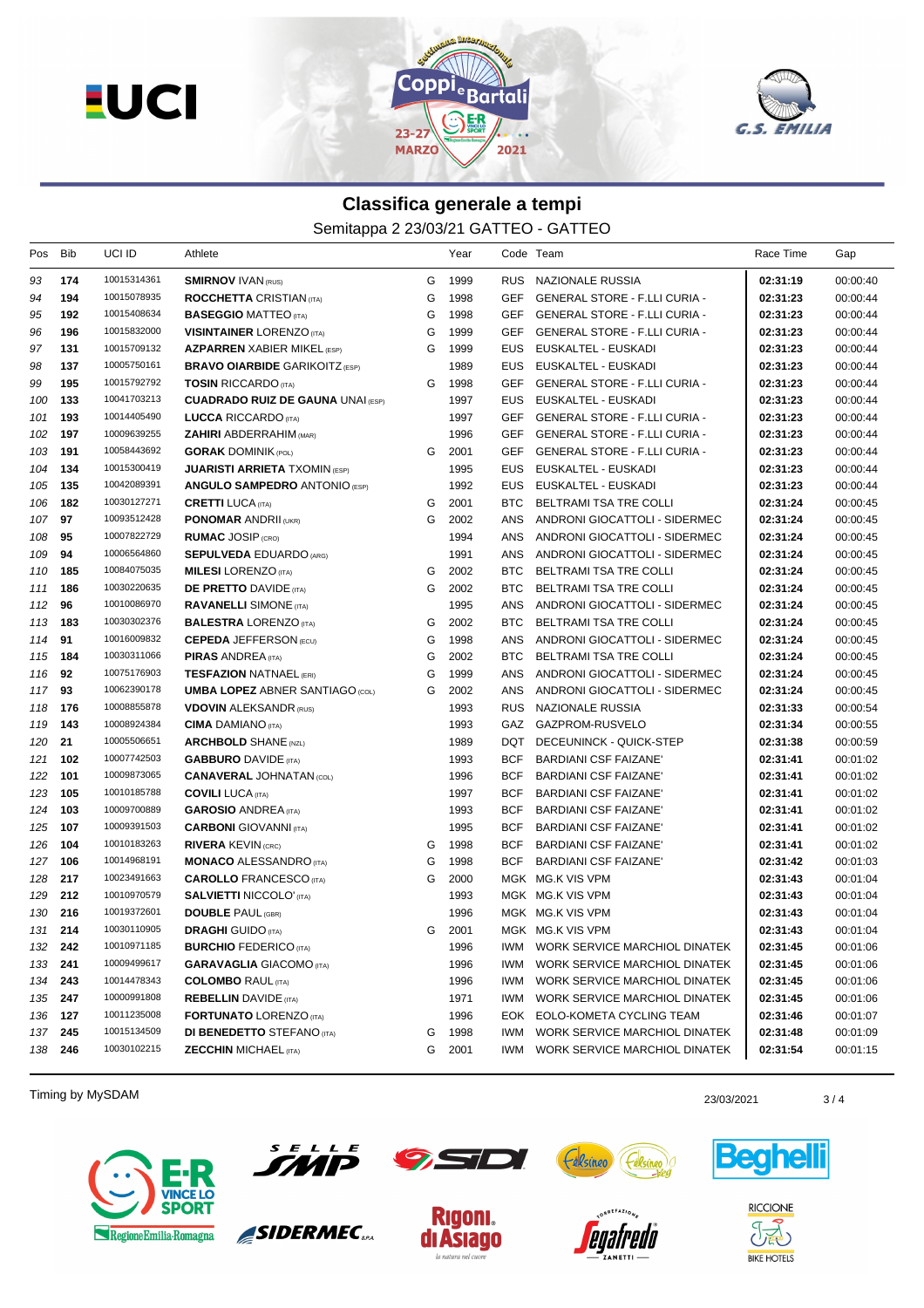



## **Classifica generale a tempi**

Semitappa 2 23/03/21 GATTEO - GATTEO

| Pos     | Bib | UCI ID      | Athlete                                  |   | Year |            | Code Team                            | Race Time | Gap      |
|---------|-----|-------------|------------------------------------------|---|------|------------|--------------------------------------|-----------|----------|
| 93      | 174 | 10015314361 | <b>SMIRNOV IVAN (RUS)</b>                | G | 1999 |            | RUS NAZIONALE RUSSIA                 | 02:31:19  | 00:00:40 |
| 94      | 194 | 10015078935 | <b>ROCCHETTA CRISTIAN (ITA)</b>          | G | 1998 | GEF        | GENERAL STORE - F.LLI CURIA -        | 02:31:23  | 00:00:44 |
| 95      | 192 | 10015408634 | <b>BASEGGIO MATTEO</b> (ITA)             | G | 1998 | <b>GEF</b> | <b>GENERAL STORE - F.LLI CURIA -</b> | 02:31:23  | 00:00:44 |
| 96      | 196 | 10015832000 | <b>VISINTAINER LORENZO (ITA)</b>         | G | 1999 | GEF        | GENERAL STORE - F.LLI CURIA -        | 02:31:23  | 00:00:44 |
| 97      | 131 | 10015709132 | <b>AZPARREN XABIER MIKEL (ESP)</b>       | G | 1999 | EUS.       | EUSKALTEL - EUSKADI                  | 02:31:23  | 00:00:44 |
| 98      | 137 | 10005750161 | <b>BRAVO OIARBIDE GARIKOITZ (ESP)</b>    |   | 1989 | EUS        | EUSKALTEL - EUSKADI                  | 02:31:23  | 00:00:44 |
| 99      | 195 | 10015792792 | <b>TOSIN RICCARDO</b> (ITA)              | G | 1998 | GEF        | <b>GENERAL STORE - F.LLI CURIA -</b> | 02:31:23  | 00:00:44 |
| 100     | 133 | 10041703213 | <b>CUADRADO RUIZ DE GAUNA UNAI (ESP)</b> |   | 1997 | EUS        | EUSKALTEL - EUSKADI                  | 02:31:23  | 00:00:44 |
| 101     | 193 | 10014405490 | <b>LUCCA RICCARDO</b> (ITA)              |   | 1997 | GEF        | <b>GENERAL STORE - F.LLI CURIA -</b> | 02:31:23  | 00:00:44 |
| 102     | 197 | 10009639255 | <b>ZAHIRI</b> ABDERRAHIM (MAR)           |   | 1996 | GEF        | GENERAL STORE - F.LLI CURIA -        | 02:31:23  | 00:00:44 |
| 103     | 191 | 10058443692 | <b>GORAK DOMINIK (POL)</b>               | G | 2001 | GEF        | GENERAL STORE - F.LLI CURIA -        | 02:31:23  | 00:00:44 |
| 104     | 134 | 10015300419 | <b>JUARISTI ARRIETA</b> TXOMIN (ESP)     |   | 1995 | EUS        | EUSKALTEL - EUSKADI                  | 02:31:23  | 00:00:44 |
| 105     | 135 | 10042089391 | <b>ANGULO SAMPEDRO ANTONIO (ESP)</b>     |   | 1992 | EUS.       | EUSKALTEL - EUSKADI                  | 02:31:23  | 00:00:44 |
| 106     | 182 | 10030127271 | <b>CRETTI LUCA</b> (ITA)                 | G | 2001 | BTC        | BELTRAMI TSA TRE COLLI               | 02:31:24  | 00:00:45 |
| 107     | 97  | 10093512428 | <b>PONOMAR ANDRII (UKR)</b>              | G | 2002 | ANS        | ANDRONI GIOCATTOLI - SIDERMEC        | 02:31:24  | 00:00:45 |
| 108     | 95  | 10007822729 | <b>RUMAC JOSIP (CRO)</b>                 |   | 1994 | ANS        | ANDRONI GIOCATTOLI - SIDERMEC        | 02:31:24  | 00:00:45 |
| 109     | 94  | 10006564860 | <b>SEPULVEDA EDUARDO (ARG)</b>           |   | 1991 | ANS        | ANDRONI GIOCATTOLI - SIDERMEC        | 02:31:24  | 00:00:45 |
| 110     | 185 | 10084075035 | <b>MILESI</b> LORENZO (ITA)              | G | 2002 | <b>BTC</b> | BELTRAMI TSA TRE COLLI               | 02:31:24  | 00:00:45 |
| 111     | 186 | 10030220635 | <b>DE PRETTO DAVIDE (ITA)</b>            | G | 2002 | BTC        | BELTRAMI TSA TRE COLLI               | 02:31:24  | 00:00:45 |
| 112     | 96  | 10010086970 | <b>RAVANELLI SIMONE (ITA)</b>            |   | 1995 | ANS        | ANDRONI GIOCATTOLI - SIDERMEC        | 02:31:24  | 00:00:45 |
| 113     | 183 | 10030302376 | <b>BALESTRA LORENZO (ITA)</b>            | G | 2002 | BTC        | BELTRAMI TSA TRE COLLI               | 02:31:24  | 00:00:45 |
| 114     | 91  | 10016009832 | <b>CEPEDA JEFFERSON (ECU)</b>            | G | 1998 | ANS        | ANDRONI GIOCATTOLI - SIDERMEC        | 02:31:24  | 00:00:45 |
| 115     | 184 | 10030311066 | <b>PIRAS ANDREA</b> (ITA)                | G | 2002 | BTC        | BELTRAMI TSA TRE COLLI               | 02:31:24  | 00:00:45 |
| 116     | 92  | 10075176903 | <b>TESFAZION NATNAEL (ERI)</b>           | G | 1999 | ANS        | ANDRONI GIOCATTOLI - SIDERMEC        | 02:31:24  | 00:00:45 |
| 117     | 93  | 10062390178 | <b>UMBA LOPEZ ABNER SANTIAGO (COL)</b>   | G | 2002 | <b>ANS</b> | ANDRONI GIOCATTOLI - SIDERMEC        | 02:31:24  | 00:00:45 |
| 118     | 176 | 10008855878 | <b>VDOVIN ALEKSANDR (RUS)</b>            |   | 1993 |            | RUS NAZIONALE RUSSIA                 | 02:31:33  | 00:00:54 |
| 119     | 143 | 10008924384 | <b>CIMA</b> DAMIANO (ITA)                |   | 1993 |            | GAZ GAZPROM-RUSVELO                  | 02:31:34  | 00:00:55 |
| 120     | 21  | 10005506651 | <b>ARCHBOLD SHANE (NZL)</b>              |   | 1989 | DQT        | DECEUNINCK - QUICK-STEP              | 02:31:38  | 00:00:59 |
| 121     | 102 | 10007742503 | <b>GABBURO</b> DAVIDE (ITA)              |   | 1993 | <b>BCF</b> | BARDIANI CSF FAIZANE'                | 02:31:41  | 00:01:02 |
| 122     | 101 | 10009873065 | <b>CANAVERAL JOHNATAN (COL)</b>          |   | 1996 | <b>BCF</b> | <b>BARDIANI CSF FAIZANE'</b>         | 02:31:41  | 00:01:02 |
| 123     | 105 | 10010185788 | <b>COVILI</b> LUCA (ITA)                 |   | 1997 | <b>BCF</b> | <b>BARDIANI CSF FAIZANE'</b>         | 02:31:41  | 00:01:02 |
| 124     | 103 | 10009700889 | <b>GAROSIO ANDREA</b> (ITA)              |   | 1993 | <b>BCF</b> | BARDIANI CSF FAIZANE'                | 02:31:41  | 00:01:02 |
| 125     | 107 | 10009391503 | <b>CARBONI</b> GIOVANNI (ITA)            |   | 1995 | <b>BCF</b> | <b>BARDIANI CSF FAIZANE'</b>         | 02:31:41  | 00:01:02 |
| 126     | 104 | 10010183263 | <b>RIVERA KEVIN (CRC)</b>                | G | 1998 | <b>BCF</b> | <b>BARDIANI CSF FAIZANE'</b>         | 02:31:41  | 00:01:02 |
| 127     | 106 | 10014968191 | <b>MONACO ALESSANDRO</b> (ITA)           | G | 1998 | <b>BCF</b> | BARDIANI CSF FAIZANE'                | 02:31:42  | 00:01:03 |
| 128     | 217 | 10023491663 | <b>CAROLLO</b> FRANCESCO (ITA)           | G | 2000 |            | MGK MG.K VIS VPM                     | 02:31:43  | 00:01:04 |
| 129     | 212 | 10010970579 | <b>SALVIETTI NICCOLO' (ITA)</b>          |   | 1993 |            | MGK MG.K VIS VPM                     | 02:31:43  | 00:01:04 |
| 130     | 216 | 10019372601 | <b>DOUBLE PAUL (GBR)</b>                 |   | 1996 |            | MGK MG.K VIS VPM                     | 02:31:43  | 00:01:04 |
| 131 214 |     | 10030110905 | <b>DRAGHI</b> GUIDO (ITA)                | G | 2001 |            | MGK MG.K VIS VPM                     | 02:31:43  | 00:01:04 |
| 132 242 |     | 10010971185 | <b>BURCHIO FEDERICO (ITA)</b>            |   | 1996 |            | IWM WORK SERVICE MARCHIOL DINATEK    | 02:31:45  | 00:01:06 |
| 133 241 |     | 10009499617 | <b>GARAVAGLIA GIACOMO (ITA)</b>          |   | 1996 | IWM        | WORK SERVICE MARCHIOL DINATEK        | 02:31:45  | 00:01:06 |
| 134     | 243 | 10014478343 | <b>COLOMBO RAUL (ITA)</b>                |   | 1996 | IWM        | WORK SERVICE MARCHIOL DINATEK        | 02:31:45  | 00:01:06 |
| 135 247 |     | 10000991808 | <b>REBELLIN</b> DAVIDE (ITA)             |   | 1971 | IWM        | WORK SERVICE MARCHIOL DINATEK        | 02:31:45  | 00:01:06 |
| 136 127 |     | 10011235008 | <b>FORTUNATO LORENZO (ITA)</b>           |   | 1996 |            | EOK EOLO-KOMETA CYCLING TEAM         | 02:31:46  | 00:01:07 |
| 137     | 245 | 10015134509 | <b>DI BENEDETTO</b> STEFANO (ITA)        | G | 1998 | IWM        | WORK SERVICE MARCHIOL DINATEK        | 02:31:48  | 00:01:09 |
| 138 246 |     | 10030102215 | <b>ZECCHIN MICHAEL (ITA)</b>             | G | 2001 | IWM        | WORK SERVICE MARCHIOL DINATEK        | 02:31:54  | 00:01:15 |

Timing by MySDAM 23/03/2021 23/03/2021 23/03/2021





SIDERMEC<sub>SPA</sub>





Félsin

**Celsineo**